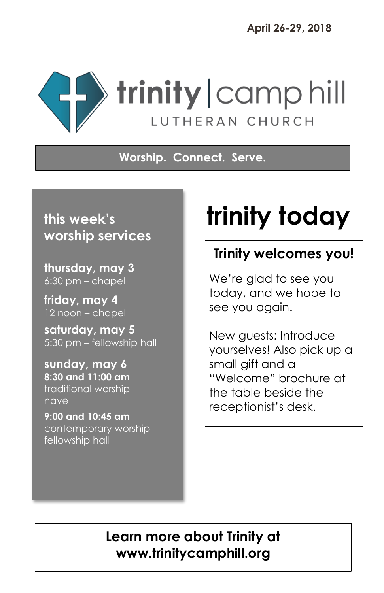

#### **Worship. Connect. Serve.**

## **this week's worship services**

**thursday, may 3** 6:30 pm – chapel

 L

> **friday, may 4** 12 noon – chapel

**saturday, may 5** 5:30 pm – fellowship hall

**sunday, may 6 8:30 and 11:00 am** traditional worship nave

**9:00 and 10:45 am** contemporary worship fellowship hall

# **trinity today**

## **Trinity welcomes you!**

We're glad to see you today, and we hope to see you again.

New guests: Introduce yourselves! Also pick up a small gift and a "Welcome" brochure at the table beside the receptionist's desk.

## **Learn more about Trinity at www.trinitycamphill.org**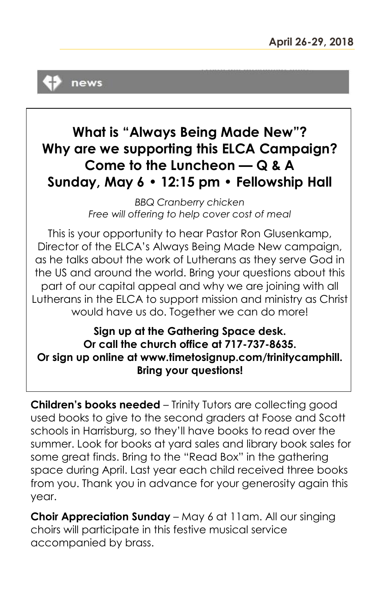

## **What is "Always Being Made New"? Why are we supporting this ELCA Campaign? Come to the Luncheon — Q & A Sunday, May 6 • 12:15 pm • Fellowship Hall**

*BBQ Cranberry chicken Free will offering to help cover cost of meal*

This is your opportunity to hear Pastor Ron Glusenkamp, Director of the ELCA's Always Being Made New campaign, as he talks about the work of Lutherans as they serve God in the US and around the world. Bring your questions about this part of our capital appeal and why we are joining with all Lutherans in the ELCA to support mission and ministry as Christ would have us do. Together we can do more!

**Sign up at the Gathering Space desk. Or call the church office at 717-737-8635. Or sign up online at www.timetosignup.com/trinitycamphill. Bring your questions!**

**Children's books needed** – Trinity Tutors are collecting good used books to give to the second graders at Foose and Scott schools in Harrisburg, so they'll have books to read over the summer. Look for books at yard sales and library book sales for some great finds. Bring to the "Read Box" in the gathering space during April. Last year each child received three books from you. Thank you in advance for your generosity again this year.

**Choir Appreciation Sunday** – May 6 at 11am. All our singing choirs will participate in this festive musical service accompanied by brass.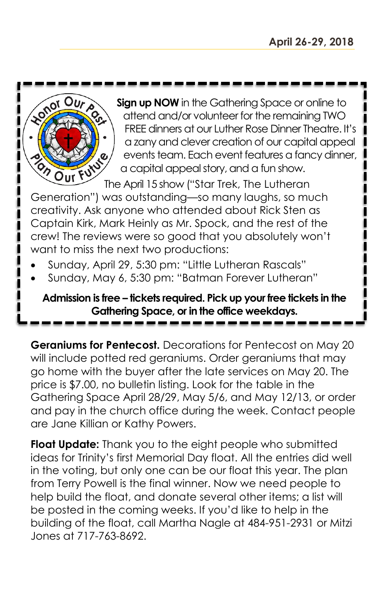

**Sign up NOW** in the Gathering Space or online to attend and/or volunteer for the remaining TWO FREE dinners at our Luther Rose Dinner Theatre. It's a zany and clever creation of our capital appeal events team. Each event features a fancy dinner, a capital appeal story, and a fun show.

The April 15 show ("Star Trek, The Lutheran Generation") was outstanding—so many laughs, so much creativity. Ask anyone who attended about Rick Sten as Captain Kirk, Mark Heinly as Mr. Spock, and the rest of the crew! The reviews were so good that you absolutely won't want to miss the next two productions:

- Sunday, April 29, 5:30 pm: "Little Lutheran Rascals"
- Sunday, May 6, 5:30 pm: "Batman Forever Lutheran"

#### **Admission is free – tickets required. Pick up your free tickets in the Gathering Space, or in the office weekdays.**

**Geraniums for Pentecost.** Decorations for Pentecost on May 20 will include potted red geraniums. Order geraniums that may go home with the buyer after the late services on May 20. The price is \$7.00, no bulletin listing. Look for the table in the Gathering Space April 28/29, May 5/6, and May 12/13, or order and pay in the church office during the week. Contact people are Jane Killian or Kathy Powers.

**Float Update:** Thank you to the eight people who submitted ideas for Trinity's first Memorial Day float. All the entries did well in the voting, but only one can be our float this year. The plan from Terry Powell is the final winner. Now we need people to help build the float, and donate several other items; a list will be posted in the coming weeks. If you'd like to help in the building of the float, call Martha Nagle at 484-951-2931 or Mitzi Jones at 717-763-8692.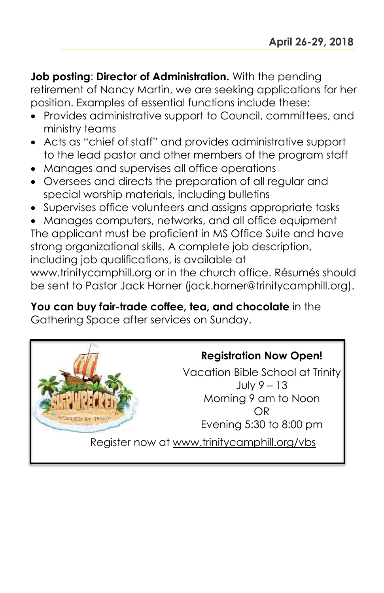**Job posting**: **Director of Administration.** With the pending retirement of Nancy Martin, we are seeking applications for her position. Examples of essential functions include these:

- Provides administrative support to Council, committees, and ministry teams
- Acts as "chief of staff" and provides administrative support to the lead pastor and other members of the program staff
- Manages and supervises all office operations
- Oversees and directs the preparation of all regular and special worship materials, including bulletins
- Supervises office volunteers and assigns appropriate tasks
- Manages computers, networks, and all office equipment

The applicant must be proficient in MS Office Suite and have strong organizational skills. A complete job description, including job qualifications, is available at

www.trinitycamphill.org or in the church office. Résumés should be sent to Pastor Jack Horner (jack.horner@trinitycamphill.org).

**You can buy fair-trade coffee, tea, and chocolate** in the Gathering Space after services on Sunday.

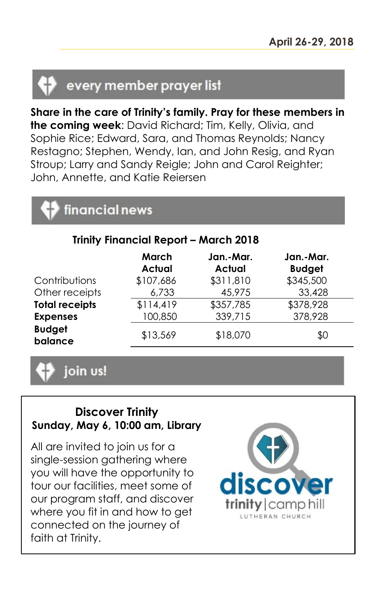## every member prayer list

**Share in the care of Trinity's family. Pray for these members in the coming week**: David Richard; Tim, Kelly, Olivia, and Sophie Rice; Edward, Sara, and Thomas Reynolds; Nancy Restagno; Stephen, Wendy, Ian, and John Resig, and Ryan Stroup; Larry and Sandy Reigle; John and Carol Reighter; John, Annette, and Katie Reiersen

## financial news

| <b>Trinity Financial Report - March 2018</b> |                        |                            |                            |  |
|----------------------------------------------|------------------------|----------------------------|----------------------------|--|
|                                              | March<br><b>Actual</b> | Jan.-Mar.<br><b>Actual</b> | Jan.-Mar.<br><b>Budget</b> |  |
| Contributions<br>Other receipts              | \$107,686<br>6,733     | \$311,810<br>45,975        | \$345,500<br>33,428        |  |
| <b>Total receipts</b>                        | \$114,419              | \$357,785                  | \$378,928                  |  |
| <b>Expenses</b>                              | 100,850                | 339,715                    | 378,928                    |  |
| <b>Budget</b><br>balance                     | \$13,569               | \$18,070                   | \$0                        |  |

join us!

#### **Discover Trinity Sunday, May 6, 10:00 am, Library**

All are invited to join us for a single-session gathering where you will have the opportunity to tour our facilities, meet some of our program staff, and discover where you fit in and how to get connected on the journey of faith at Trinity.

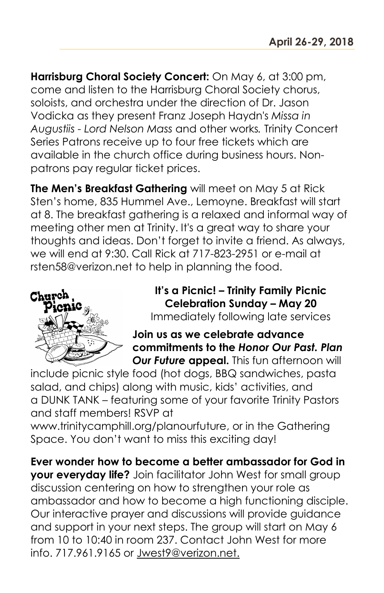**Harrisburg Choral Society Concert:** On May 6, at 3:00 pm, come and listen to the Harrisburg Choral Society chorus, soloists, and orchestra under the direction of Dr. Jason Vodicka as they present Franz Joseph Haydn's *Missa in Augustiis - Lord Nelson Mass* and other works*.* Trinity Concert Series Patrons receive up to four free tickets which are available in the church office during business hours. Nonpatrons pay regular ticket prices.

**The Men's Breakfast Gathering** will meet on May 5 at Rick Sten's home, 835 Hummel Ave., Lemoyne. Breakfast will start at 8. The breakfast gathering is a relaxed and informal way of meeting other men at Trinity. It's a great way to share your thoughts and ideas. Don't forget to invite a friend. As always, we will end at 9:30. Call Rick at 717-823-2951 or e-mail at rsten58@verizon.net to help in planning the food.



**It's a Picnic! – Trinity Family Picnic Celebration Sunday – May 20** Immediately following late services

**Join us as we celebrate advance commitments to the** *Honor Our Past. Plan Our Future appeal. This fun afternoon will* 

include picnic style food (hot dogs, BBQ sandwiches, pasta salad, and chips) along with music, kids' activities, and a DUNK TANK – featuring some of your favorite Trinity Pastors and staff members! RSVP at

www.trinitycamphill.org/planourfuture, or in the Gathering Space. You don't want to miss this exciting day!

**Ever wonder how to become a better ambassador for God in your everyday life?** Join facilitator John West for small group discussion centering on how to strengthen your role as ambassador and how to become a high functioning disciple. Our interactive prayer and discussions will provide guidance and support in your next steps. The group will start on May 6 from 10 to 10:40 in room 237. Contact John West for more info. 717.961.9165 or [Jwest9@verizon.net.](mailto:Jwest9@verizon.net)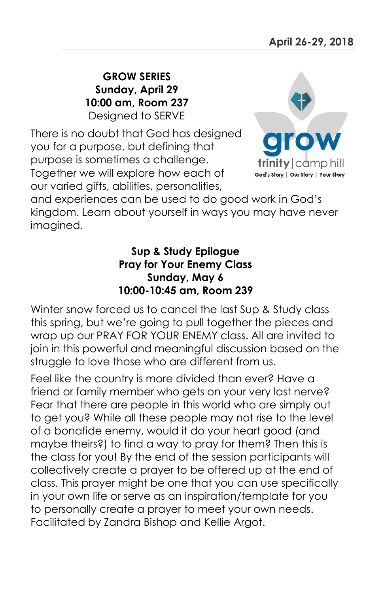**GROW SERIES Sunday, April 29 10:00 am, Room 237** Designed to SERVE

There is no doubt that God has designed you for a purpose, but defining that purpose is sometimes a challenge. Together we will explore how each of our varied gifts, abilities, personalities,



and experiences can be used to do good work in God's kingdom. Learn about yourself in ways you may have never imagined.

#### **Sup & Study Epilogue Pray for Your Enemy Class Sunday, May 6 10:00-10:45 am, Room 239**

Winter snow forced us to cancel the last Sup & Study class this spring, but we're going to pull together the pieces and wrap up our PRAY FOR YOUR ENEMY class. All are invited to join in this powerful and meaningful discussion based on the struggle to love those who are different from us.

Feel like the country is more divided than ever? Have a friend or family member who gets on your very last nerve? Fear that there are people in this world who are simply out to get you? While all these people may not rise to the level of a bonafide enemy, would it do your heart good (and maybe theirs?) to find a way to pray for them? Then this is the class for you! By the end of the session participants will collectively create a prayer to be offered up at the end of class. This prayer might be one that you can use specifically in your own life or serve as an inspiration/template for you to personally create a prayer to meet your own needs. Facilitated by Zandra Bishop and Kellie Argot.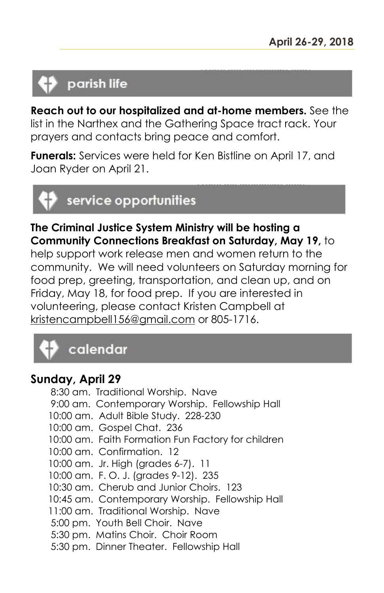## parish life

**Reach out to our hospitalized and at-home members.** See the list in the Narthex and the Gathering Space tract rack. Your prayers and contacts bring peace and comfort.

**Funerals:** Services were held for Ken Bistline on April 17, and Joan Ryder on April 21.



**The Criminal Justice System Ministry will be hosting a Community Connections Breakfast on Saturday, May 19,** to

help support work release men and women return to the community. We will need volunteers on Saturday morning for food prep, greeting, transportation, and clean up, and on Friday, May 18, for food prep. If you are interested in volunteering, please contact Kristen Campbell at [kristencampbell156@gmail.com](mailto:kristencampbell156@gmail.com) or 805-1716.



#### **Sunday, April 29**

8:30 am. Traditional Worship. Nave 9:00 am. Contemporary Worship. Fellowship Hall 10:00 am. Adult Bible Study. 228-230 10:00 am. Gospel Chat. 236 10:00 am. Faith Formation Fun Factory for children 10:00 am. Confirmation. 12 10:00 am. Jr. High (grades 6-7). 11 10:00 am. F. O. J. (grades 9-12). 235 10:30 am. Cherub and Junior Choirs. 123 10:45 am. Contemporary Worship. Fellowship Hall 11:00 am. Traditional Worship. Nave 5:00 pm. Youth Bell Choir. Nave 5:30 pm. Matins Choir. Choir Room 5:30 pm. Dinner Theater. Fellowship Hall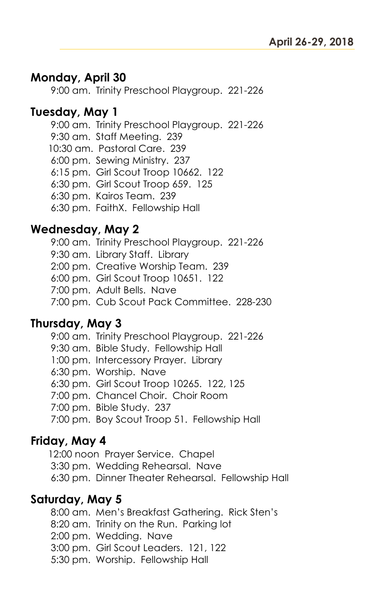#### **Monday, April 30**

9:00 am. Trinity Preschool Playgroup. 221-226

#### **Tuesday, May 1**

9:00 am. Trinity Preschool Playgroup. 221-226 9:30 am. Staff Meeting. 239 10:30 am. Pastoral Care. 239 6:00 pm. Sewing Ministry. 237 6:15 pm. Girl Scout Troop 10662. 122 6:30 pm. Girl Scout Troop 659. 125 6:30 pm. Kairos Team. 239 6:30 pm. FaithX. Fellowship Hall

#### **Wednesday, May 2**

9:00 am. Trinity Preschool Playgroup. 221-226

9:30 am. Library Staff. Library

2:00 pm. Creative Worship Team. 239

6:00 pm. Girl Scout Troop 10651. 122

7:00 pm. Adult Bells. Nave

7:00 pm. Cub Scout Pack Committee. 228-230

#### **Thursday, May 3**

9:00 am. Trinity Preschool Playgroup. 221-226

9:30 am. Bible Study. Fellowship Hall

1:00 pm. Intercessory Prayer. Library

6:30 pm. Worship. Nave

6:30 pm. Girl Scout Troop 10265. 122, 125

7:00 pm. Chancel Choir. Choir Room

7:00 pm. Bible Study. 237

7:00 pm. Boy Scout Troop 51. Fellowship Hall

#### **Friday, May 4**

12:00 noon Prayer Service. Chapel 3:30 pm. Wedding Rehearsal. Nave 6:30 pm. Dinner Theater Rehearsal. Fellowship Hall

#### **Saturday, May 5**

8:00 am. Men's Breakfast Gathering. Rick Sten's 8:20 am. Trinity on the Run. Parking lot 2:00 pm. Wedding. Nave 3:00 pm. Girl Scout Leaders. 121, 122

5:30 pm. Worship. Fellowship Hall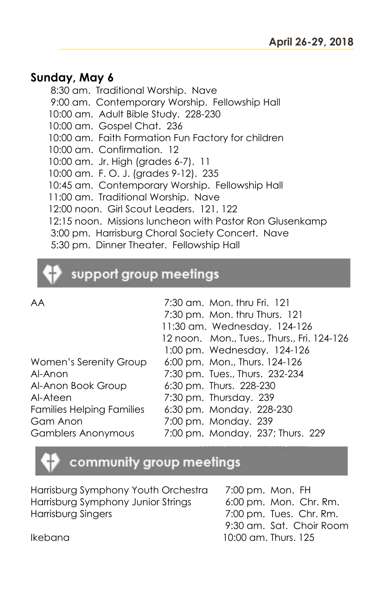#### **Sunday, May 6**

8:30 am. Traditional Worship. Nave 9:00 am. Contemporary Worship. Fellowship Hall 10:00 am. Adult Bible Study. 228-230 10:00 am. Gospel Chat. 236 10:00 am. Faith Formation Fun Factory for children 10:00 am. Confirmation. 12 10:00 am. Jr. High (grades 6-7). 11 10:00 am. F. O. J. (grades 9-12). 235 10:45 am. Contemporary Worship. Fellowship Hall 11:00 am. Traditional Worship. Nave 12:00 noon. Girl Scout Leaders. 121, 122 12:15 noon. Missions luncheon with Pastor Ron Glusenkamp 3:00 pm. Harrisburg Choral Society Concert. Nave 5:30 pm. Dinner Theater. Fellowship Hall

## support group meetings

| AA                               | 7:30 am. Mon. thru Fri. 121                |
|----------------------------------|--------------------------------------------|
|                                  | 7:30 pm. Mon. thru Thurs. 121              |
|                                  | 11:30 am. Wednesday. 124-126               |
|                                  | 12 noon. Mon., Tues., Thurs., Fri. 124-126 |
|                                  | 1:00 pm. Wednesday. 124-126                |
| Women's Serenity Group           | 6:00 pm. Mon., Thurs. 124-126              |
| Al-Anon                          | 7:30 pm. Tues., Thurs. 232-234             |
| Al-Anon Book Group               | 6:30 pm. Thurs. 228-230                    |
| Al-Ateen                         | 7:30 pm. Thursday. 239                     |
| <b>Families Helping Families</b> | 6:30 pm. Monday. 228-230                   |
| Gam Anon                         | 7:00 pm. Monday. 239                       |
| <b>Gamblers Anonymous</b>        | 7:00 pm. Monday. 237; Thurs. 229           |

### community group meetings

| Harrisburg Symphony Youth Orchestra | 7:00 pm. Mon. FH         |
|-------------------------------------|--------------------------|
| Harrisburg Symphony Junior Strings  | 6:00 pm. Mon. Chr. Rm.   |
| Harrisburg Singers                  | 7:00 pm. Tues. Chr. Rm.  |
|                                     | 9:30 am. Sat. Choir Room |
| Ikebana                             | 10:00 am. Thurs. 125     |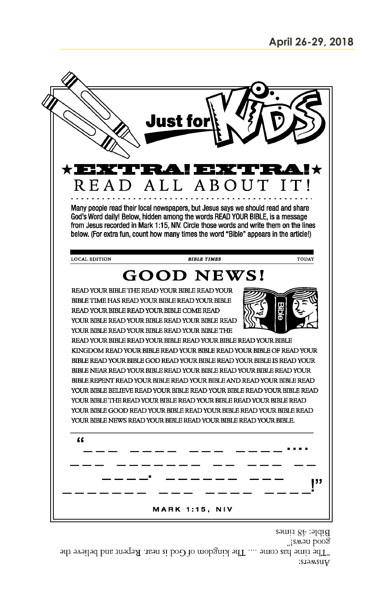

"¡ѕмәи рооЗ "The time has come .... The kingdom of God is near. Repent and believe the Aners: